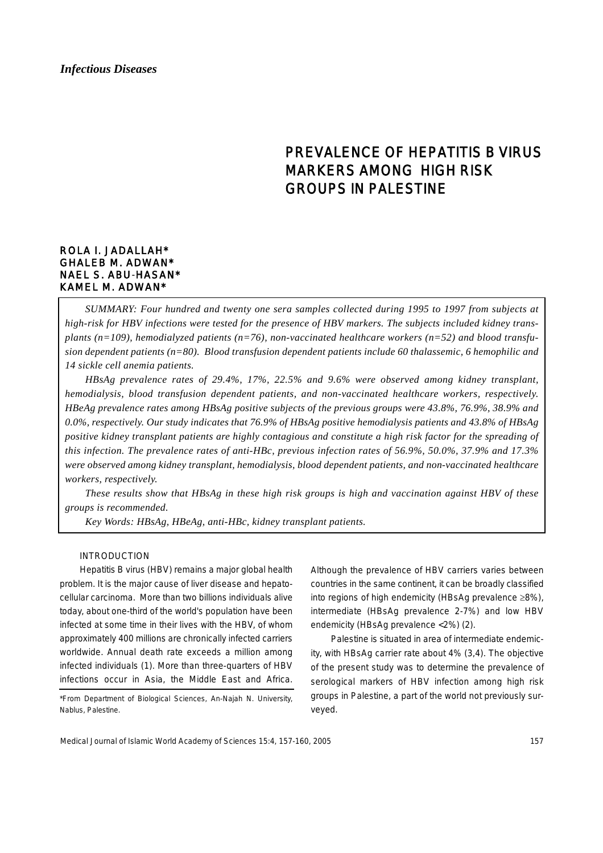# PREVALENCE OF HEPATITIS B VIRUS MARKERS AMONG HIGH RISK GROUPS IN PALESTINE

## ROLA I. JADALLAH\* GHALEB M. ADWAN\* NAEL S. ABU-HASAN\* KAMEL M. ADWAN\*

*SUMMARY: Four hundred and twenty one sera samples collected during 1995 to 1997 from subjects at high-risk for HBV infections were tested for the presence of HBV markers. The subjects included kidney transplants (n=109), hemodialyzed patients (n=76), non-vaccinated healthcare workers (n=52) and blood transfusion dependent patients (n=80). Blood transfusion dependent patients include 60 thalassemic, 6 hemophilic and 14 sickle cell anemia patients.* 

*HBsAg prevalence rates of 29.4%, 17%, 22.5% and 9.6% were observed among kidney transplant, hemodialysis, blood transfusion dependent patients, and non-vaccinated healthcare workers, respectively. HBeAg prevalence rates among HBsAg positive subjects of the previous groups were 43.8%, 76.9%, 38.9% and 0.0%, respectively. Our study indicates that 76.9% of HBsAg positive hemodialysis patients and 43.8% of HBsAg positive kidney transplant patients are highly contagious and constitute a high risk factor for the spreading of this infection. The prevalence rates of anti-HBc, previous infection rates of 56.9%, 50.0%, 37.9% and 17.3% were observed among kidney transplant, hemodialysis, blood dependent patients, and non-vaccinated healthcare workers, respectively.*

*These results show that HBsAg in these high risk groups is high and vaccination against HBV of these groups is recommended.*

*Key Words: HBsAg, HBeAg, anti-HBc, kidney transplant patients.*

#### INTRODUCTION

Hepatitis B virus (HBV) remains a major global health problem. It is the major cause of liver disease and hepatocellular carcinoma. More than two billions individuals alive today, about one-third of the world's population have been infected at some time in their lives with the HBV, of whom approximately 400 millions are chronically infected carriers worldwide. Annual death rate exceeds a million among infected individuals (1). More than three-quarters of HBV infections occur in Asia, the Middle East and Africa.

\*From Department of Biological Sciences, An-Najah N. University, Nablus, Palestine.

Although the prevalence of HBV carriers varies between countries in the same continent, it can be broadly classified into regions of high endemicity (HBsAg prevalence ≥8%), intermediate (HBsAg prevalence 2-7%) and low HBV endemicity (HBsAg prevalence <2%) (2).

Palestine is situated in area of intermediate endemicity, with HBsAg carrier rate about 4% (3,4). The objective of the present study was to determine the prevalence of serological markers of HBV infection among high risk groups in Palestine, a part of the world not previously surveyed.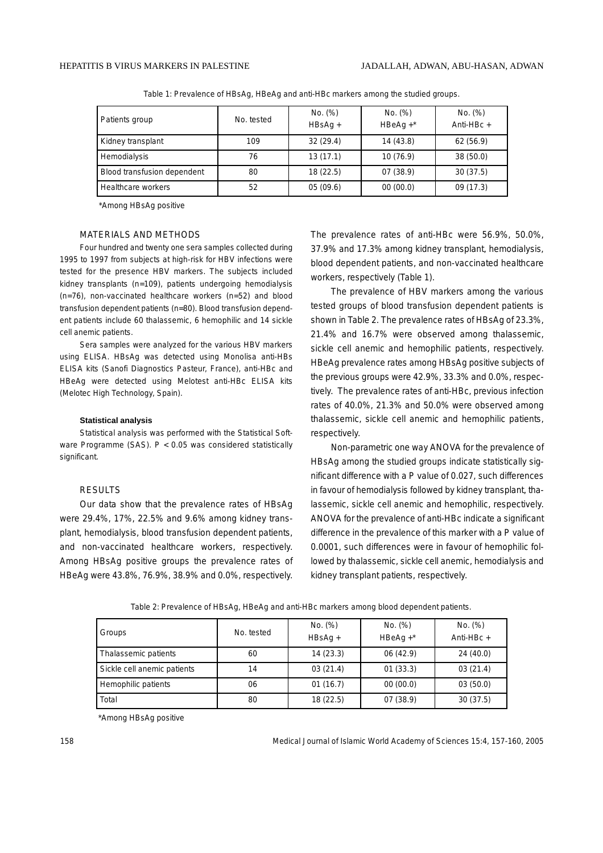| Patients group              | No. tested | No. (%)<br>$HBSAq +$ | No. (%)<br>$HBeAq + *$ | No. (%)<br>Anti-HB $c +$ |
|-----------------------------|------------|----------------------|------------------------|--------------------------|
| Kidney transplant           | 109        | 32(29.4)             | 14(43.8)               | 62(56.9)                 |
| Hemodialysis                | 76         | 13(17.1)             | 10(76.9)               | 38(50.0)                 |
| Blood transfusion dependent | 80         | 18(22.5)             | 07(38.9)               | 30(37.5)                 |
| Healthcare workers          | 52         | 05(09.6)             | 00(00.0)               | 09 (17.3)                |

Table 1: Prevalence of HBsAg, HBeAg and anti-HBc markers among the studied groups.

\*Among HBsAg positive

#### MATERIALS AND METHODS

Four hundred and twenty one sera samples collected during 1995 to 1997 from subjects at high-risk for HBV infections were tested for the presence HBV markers. The subjects included kidney transplants (n=109), patients undergoing hemodialysis (n=76), non-vaccinated healthcare workers (n=52) and blood transfusion dependent patients (n=80). Blood transfusion dependent patients include 60 thalassemic, 6 hemophilic and 14 sickle cell anemic patients.

Sera samples were analyzed for the various HBV markers using ELISA. HBsAg was detected using Monolisa anti-HBs ELISA kits (Sanofi Diagnostics Pasteur, France), anti-HBc and HBeAg were detected using Melotest anti-HBc ELISA kits (Melotec High Technology, Spain).

#### **Statistical analysis**

Statistical analysis was performed with the Statistical Software Programme (SAS). P < 0.05 was considered statistically significant.

#### RESULTS

Our data show that the prevalence rates of HBsAg were 29.4%, 17%, 22.5% and 9.6% among kidney transplant, hemodialysis, blood transfusion dependent patients, and non-vaccinated healthcare workers, respectively. Among HBsAg positive groups the prevalence rates of HBeAg were 43.8%, 76.9%, 38.9% and 0.0%, respectively.

The prevalence rates of anti-HBc were 56.9%, 50.0%, 37.9% and 17.3% among kidney transplant, hemodialysis, blood dependent patients, and non-vaccinated healthcare workers, respectively (Table 1).

The prevalence of HBV markers among the various tested groups of blood transfusion dependent patients is shown in Table 2. The prevalence rates of HBsAg of 23.3%, 21.4% and 16.7% were observed among thalassemic, sickle cell anemic and hemophilic patients, respectively. HBeAg prevalence rates among HBsAg positive subjects of the previous groups were 42.9%, 33.3% and 0.0%, respectively. The prevalence rates of anti-HBc, previous infection rates of 40.0%, 21.3% and 50.0% were observed among thalassemic, sickle cell anemic and hemophilic patients, respectively.

Non-parametric one way ANOVA for the prevalence of HBsAg among the studied groups indicate statistically significant difference with a P value of 0.027, such differences in favour of hemodialysis followed by kidney transplant, thalassemic, sickle cell anemic and hemophilic, respectively. ANOVA for the prevalence of anti-HBc indicate a significant difference in the prevalence of this marker with a P value of 0.0001, such differences were in favour of hemophilic followed by thalassemic, sickle cell anemic, hemodialysis and kidney transplant patients, respectively.

| Table 2: Prevalence of HBsAg, HBeAg and anti-HBc markers among blood dependent patients |
|-----------------------------------------------------------------------------------------|
|-----------------------------------------------------------------------------------------|

| Groups                      | No. tested | No. (%)<br>$HBSAq +$ | No. (%)<br>$HBeAg +$ | No. (%)<br>Anti-HB $c +$ |
|-----------------------------|------------|----------------------|----------------------|--------------------------|
| Thalassemic patients        | 60         | 14(23.3)             | 06(42.9)             | 24(40.0)                 |
| Sickle cell anemic patients | 14         | 03(21.4)             | 01(33.3)             | 03(21.4)                 |
| Hemophilic patients         | 06         | 01(16.7)             | 00(00.0)             | 03(50.0)                 |
| Total                       | 80         | 18(22.5)             | 07(38.9)             | 30(37.5)                 |

\*Among HBsAg positive

158 Medical Journal of Islamic World Academy of Sciences 15:4, 157-160, 2005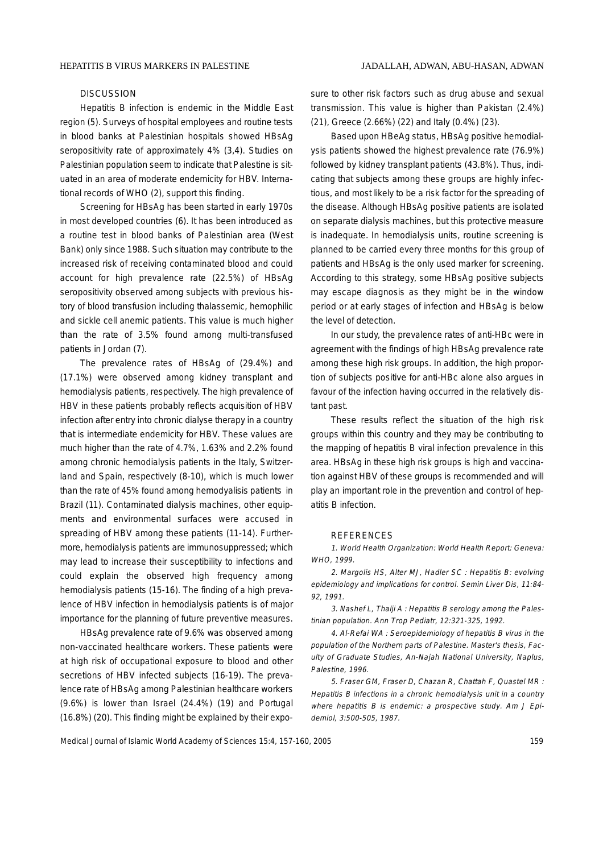### **DISCUSSION**

Hepatitis B infection is endemic in the Middle East region (5). Surveys of hospital employees and routine tests in blood banks at Palestinian hospitals showed HBsAg seropositivity rate of approximately 4% (3,4). Studies on Palestinian population seem to indicate that Palestine is situated in an area of moderate endemicity for HBV. International records of WHO (2), support this finding.

Screening for HBsAg has been started in early 1970s in most developed countries (6). It has been introduced as a routine test in blood banks of Palestinian area (West Bank) only since 1988. Such situation may contribute to the increased risk of receiving contaminated blood and could account for high prevalence rate (22.5%) of HBsAg seropositivity observed among subjects with previous history of blood transfusion including thalassemic, hemophilic and sickle cell anemic patients. This value is much higher than the rate of 3.5% found among multi-transfused patients in Jordan (7).

The prevalence rates of HBsAg of (29.4%) and (17.1%) were observed among kidney transplant and hemodialysis patients, respectively. The high prevalence of HBV in these patients probably reflects acquisition of HBV infection after entry into chronic dialyse therapy in a country that is intermediate endemicity for HBV. These values are much higher than the rate of 4.7%, 1.63% and 2.2% found among chronic hemodialysis patients in the Italy, Switzerland and Spain, respectively (8-10), which is much lower than the rate of 45% found among hemodyalisis patients in Brazil (11). Contaminated dialysis machines, other equipments and environmental surfaces were accused in spreading of HBV among these patients (11-14). Furthermore, hemodialysis patients are immunosuppressed; which may lead to increase their susceptibility to infections and could explain the observed high frequency among hemodialysis patients (15-16). The finding of a high prevalence of HBV infection in hemodialysis patients is of major importance for the planning of future preventive measures.

HBsAg prevalence rate of 9.6% was observed among non-vaccinated healthcare workers. These patients were at high risk of occupational exposure to blood and other secretions of HBV infected subjects (16-19). The prevalence rate of HBsAg among Palestinian healthcare workers (9.6%) is lower than Israel (24.4%) (19) and Portugal (16.8%) (20). This finding might be explained by their exposure to other risk factors such as drug abuse and sexual transmission. This value is higher than Pakistan (2.4%) (21), Greece (2.66%) (22) and Italy (0.4%) (23).

Based upon HBeAg status, HBsAg positive hemodialysis patients showed the highest prevalence rate (76.9%) followed by kidney transplant patients (43.8%). Thus, indicating that subjects among these groups are highly infectious, and most likely to be a risk factor for the spreading of the disease. Although HBsAg positive patients are isolated on separate dialysis machines, but this protective measure is inadequate. In hemodialysis units, routine screening is planned to be carried every three months for this group of patients and HBsAg is the only used marker for screening. According to this strategy, some HBsAg positive subjects may escape diagnosis as they might be in the window period or at early stages of infection and HBsAg is below the level of detection.

In our study, the prevalence rates of anti-HBc were in agreement with the findings of high HBsAg prevalence rate among these high risk groups. In addition, the high proportion of subjects positive for anti-HBc alone also argues in favour of the infection having occurred in the relatively distant past.

These results reflect the situation of the high risk groups within this country and they may be contributing to the mapping of hepatitis B viral infection prevalence in this area. HBsAg in these high risk groups is high and vaccination against HBV of these groups is recommended and will play an important role in the prevention and control of hepatitis B infection.

#### **REFERENCES**

1. World Health Organization: World Health Report: Geneva: WHO, 1999.

2. Margolis HS, Alter MJ, Hadler SC : Hepatitis B: evolving epidemiology and implications for control. Semin Liver Dis, 11:84- 92, 1991.

3. Nashef L, Thalji A : Hepatitis B serology among the Palestinian population. Ann Trop Pediatr, 12:321-325, 1992.

4. Al-Refai WA : Seroepidemiology of hepatitis B virus in the population of the Northern parts of Palestine. Master's thesis, Faculty of Graduate Studies, An-Najah National University, Naplus, Palestine, 1996.

5. Fraser GM, Fraser D, Chazan R, Chattah F, Quastel MR : Hepatitis B infections in a chronic hemodialysis unit in a country where hepatitis B is endemic: a prospective study. Am J Epidemiol, 3:500-505, 1987.